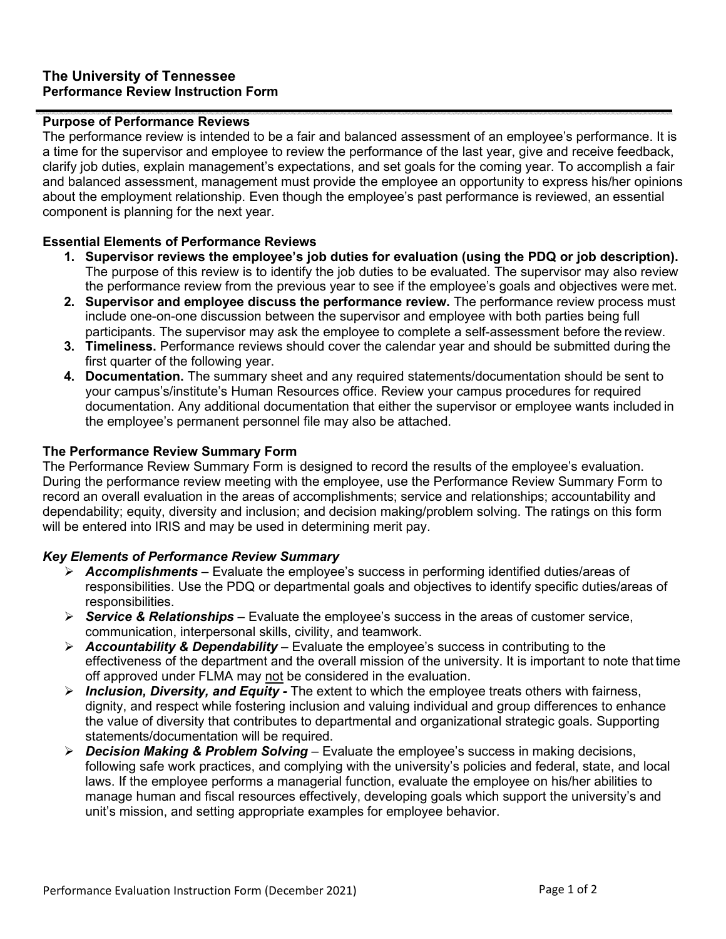# **The University of Tennessee Performance Review Instruction Form**

#### **Purpose of Performance Reviews**

The performance review is intended to be a fair and balanced assessment of an employee's performance. It is a time for the supervisor and employee to review the performance of the last year, give and receive feedback, clarify job duties, explain management's expectations, and set goals for the coming year. To accomplish a fair and balanced assessment, management must provide the employee an opportunity to express his/her opinions about the employment relationship. Even though the employee's past performance is reviewed, an essential component is planning for the next year.

# **Essential Elements of Performance Reviews**

- **1. Supervisor reviews the employee's job duties for evaluation (using the PDQ or job description).**  The purpose of this review is to identify the job duties to be evaluated. The supervisor may also review the performance review from the previous year to see if the employee's goals and objectives were met.
- **2. Supervisor and employee discuss the performance review.** The performance review process must include one-on-one discussion between the supervisor and employee with both parties being full participants. The supervisor may ask the employee to complete a self-assessment before the review.
- **3. Timeliness.** Performance reviews should cover the calendar year and should be submitted during the first quarter of the following year.
- **4. Documentation.** The summary sheet and any required statements/documentation should be sent to your campus's/institute's Human Resources office. Review your campus procedures for required documentation. Any additional documentation that either the supervisor or employee wants included in the employee's permanent personnel file may also be attached.

# **The Performance Review Summary Form**

The Performance Review Summary Form is designed to record the results of the employee's evaluation. During the performance review meeting with the employee, use the Performance Review Summary Form to record an overall evaluation in the areas of accomplishments; service and relationships; accountability and dependability; equity, diversity and inclusion; and decision making/problem solving. The ratings on this form will be entered into IRIS and may be used in determining merit pay.

# *Key Elements of Performance Review Summary*

- *Accomplishments*  Evaluate the employee's success in performing identified duties/areas of responsibilities. Use the PDQ or departmental goals and objectives to identify specific duties/areas of responsibilities.
- *Service & Relationships*  Evaluate the employee's success in the areas of customer service, communication, interpersonal skills, civility, and teamwork.
- *Accountability & Dependability*  Evaluate the employee's success in contributing to the effectiveness of the department and the overall mission of the university. It is important to note that time off approved under FLMA may not be considered in the evaluation.
- *Inclusion, Diversity, and Equity -* The extent to which the employee treats others with fairness, dignity, and respect while fostering inclusion and valuing individual and group differences to enhance the value of diversity that contributes to departmental and organizational strategic goals. Supporting statements/documentation will be required.
- *Decision Making & Problem Solving* Evaluate the employee's success in making decisions, following safe work practices, and complying with the university's policies and federal, state, and local laws. If the employee performs a managerial function, evaluate the employee on his/her abilities to manage human and fiscal resources effectively, developing goals which support the university's and unit's mission, and setting appropriate examples for employee behavior.